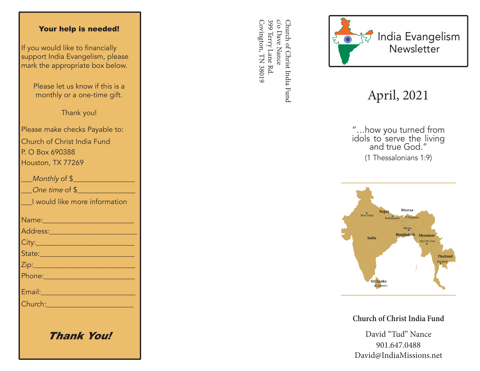#### Your help is needed!

If you would like to financially support India Evangelism, please mark the appropriate box below.

> Please let us know if this is a monthly or a one-time gift.

> > Thank you!

Please make checks Payable to: Church of Christ India Fund P. O Box 690388 Houston, TX 77269

| Monthly of \$                                                                                                                                                                                                                        |
|--------------------------------------------------------------------------------------------------------------------------------------------------------------------------------------------------------------------------------------|
| One time of \$                                                                                                                                                                                                                       |
| I would like more information                                                                                                                                                                                                        |
|                                                                                                                                                                                                                                      |
|                                                                                                                                                                                                                                      |
|                                                                                                                                                                                                                                      |
| State: 2008 - 2008 - 2010 - 2011 - 2012 - 2012 - 2012 - 2014 - 2012 - 2014 - 2014 - 2014 - 2014 - 2014 - 2014                                                                                                                        |
|                                                                                                                                                                                                                                      |
|                                                                                                                                                                                                                                      |
| Email: North Marian Maria Maria Maria Maria Maria Maria Maria Maria Maria Maria Maria Maria Maria Maria Maria                                                                                                                        |
| Church: <u>Alexander Alexander Alexander Alexander Alexander Alexander Alexander Alexander Alexander Alexander Alexander Alexander Alexander Alexander Alexander Alexander Alexander Alexander Alexander Alexander Alexander Ale</u> |
|                                                                                                                                                                                                                                      |
|                                                                                                                                                                                                                                      |

Thank You!

399 Terry Lane Rd c/o Dave Nance Covington, TN 38019 Covington, TN 38019 399 Terry Lane Rd. c/o Dave Nance Church of Christ India Fund Church of Christ India Fund



# April, 2021

"…how you turned from idols to serve the living and true God." (1 Thessalonians 1:9)



**Church of Christ India Fund**

David "Tud" Nance 901.647.0488 David@IndiaMissions.net